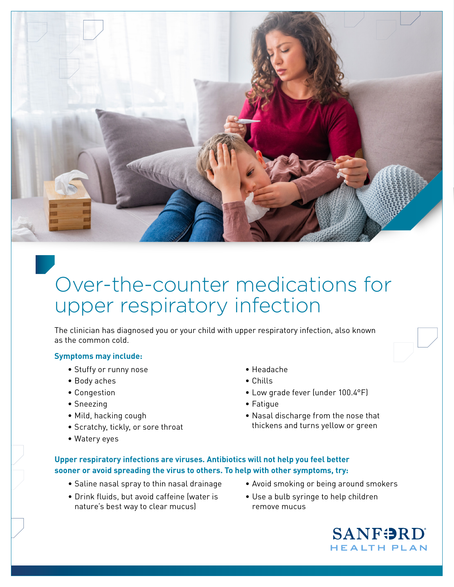

# Over-the-counter medications for upper respiratory infection

The clinician has diagnosed you or your child with upper respiratory infection, also known as the common cold.

#### j **Symptoms may include:**

- Stuffy or runny nose
- Body aches
- Congestion
- Sneezing
- Mild, hacking cough
- Scratchy, tickly, or sore throat
- Watery eyes
- Headache
- Chills
- Low grade fever (under 100.4°F)
- Fatigue

remove mucus

• Nasal discharge from the nose that thickens and turns yellow or green

### **Upper respiratory infections are viruses. Antibiotics will not help you feel better sooner or avoid spreading the virus to others. To help with other symptoms, try:**

- Saline nasal spray to thin nasal drainage
- Drink fluids, but avoid caffeine (water is nature's best way to clear mucus)
- Avoid smoking or being around smokers • Use a bulb syringe to help children
	- **SANFORD HEALTH PLAN**